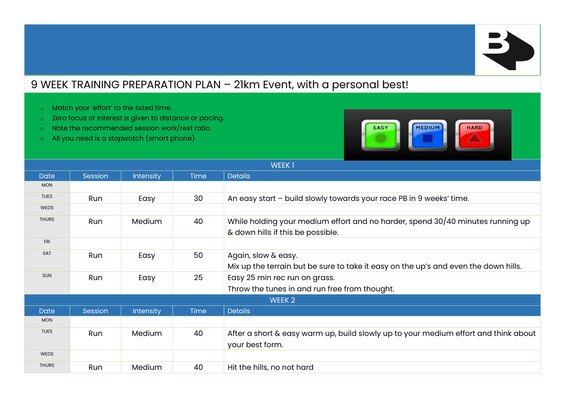## 9 WEEK TRAINING PREPARATION PLAN – 21km Event, with a personal best!

- o Match your 'effort' to the listed time.
- o Zero focus or interest is given to distance or pacing.
- o Note the recommended session work/rest ratio.
- o All you need is a stopwatch (smart phone).



| <b>WEEK1</b> |         |                  |             |                                                                                                                     |  |
|--------------|---------|------------------|-------------|---------------------------------------------------------------------------------------------------------------------|--|
| <b>Date</b>  | Session | <b>Intensity</b> | <b>Time</b> | <b>Details</b>                                                                                                      |  |
| <b>MON</b>   |         |                  |             |                                                                                                                     |  |
| <b>TUES</b>  | Run     | Easy             | 30          | An easy start - build slowly towards your race PB in 9 weeks' time.                                                 |  |
| <b>WEDS</b>  |         |                  |             |                                                                                                                     |  |
| <b>THURS</b> | Run     | <b>Medium</b>    | 40          | While holding your medium effort and no harder, spend 30/40 minutes running up<br>& down hills if this be possible. |  |
| <b>FRI</b>   |         |                  |             |                                                                                                                     |  |
| <b>SAT</b>   | Run     | Easy             | 50          | Again, slow & easy.                                                                                                 |  |
|              |         |                  |             | Mix up the terrain but be sure to take it easy on the up's and even the down hills.                                 |  |
| <b>SUN</b>   | Run     | Easy             | 25          | Easy 25 min rec run on grass.                                                                                       |  |
|              |         |                  |             | Throw the tunes in and run free from thought.                                                                       |  |
| WEEK 2       |         |                  |             |                                                                                                                     |  |
| <b>Date</b>  | Session | Intensity        | <b>Time</b> | <b>Details</b>                                                                                                      |  |
| <b>MON</b>   |         |                  |             |                                                                                                                     |  |
| <b>TUES</b>  | Run     | <b>Medium</b>    | 40          | After a short & easy warm up, build slowly up to your medium effort and think about<br>your best form.              |  |
| <b>WEDS</b>  |         |                  |             |                                                                                                                     |  |
| <b>THURS</b> | Run     | Medium           | 40          | Hit the hills, no not hard                                                                                          |  |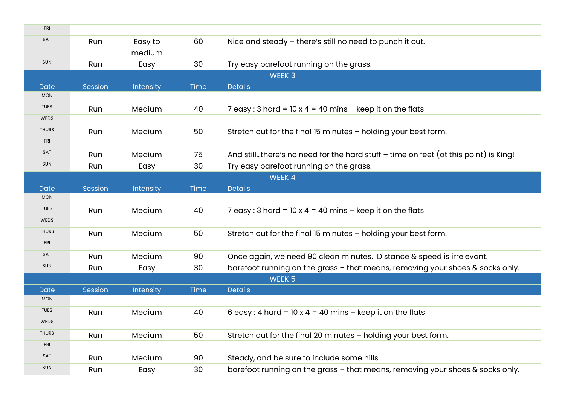| <b>FRI</b>        |         |                   |             |                                                                                       |  |  |  |
|-------------------|---------|-------------------|-------------|---------------------------------------------------------------------------------------|--|--|--|
| SAT               | Run     | Easy to<br>medium | 60          | Nice and steady - there's still no need to punch it out.                              |  |  |  |
| <b>SUN</b>        | Run     | Easy              | 30          | Try easy barefoot running on the grass.                                               |  |  |  |
| WEEK <sub>3</sub> |         |                   |             |                                                                                       |  |  |  |
| <b>Date</b>       | Session | Intensity         | Time        | <b>Details</b>                                                                        |  |  |  |
| <b>MON</b>        |         |                   |             |                                                                                       |  |  |  |
| <b>TUES</b>       | Run     | Medium            | 40          | 7 easy: 3 hard = 10 x 4 = 40 mins $-$ keep it on the flats                            |  |  |  |
| WEDS              |         |                   |             |                                                                                       |  |  |  |
| <b>THURS</b>      | Run     | Medium            | 50          | Stretch out for the final 15 minutes - holding your best form.                        |  |  |  |
| <b>FRI</b>        |         |                   |             |                                                                                       |  |  |  |
| SAT               | Run     | Medium            | 75          | And stillthere's no need for the hard stuff $-$ time on feet (at this point) is King! |  |  |  |
| <b>SUN</b>        | Run     | Easy              | 30          | Try easy barefoot running on the grass.                                               |  |  |  |
|                   | WEEK 4  |                   |             |                                                                                       |  |  |  |
| <b>Date</b>       | Session | Intensity         | <b>Time</b> | <b>Details</b>                                                                        |  |  |  |
| <b>MON</b>        |         |                   |             |                                                                                       |  |  |  |
| <b>TUES</b>       | Run     | Medium            | 40          | 7 easy: 3 hard = $10 \times 4 = 40$ mins - keep it on the flats                       |  |  |  |
| <b>WEDS</b>       |         |                   |             |                                                                                       |  |  |  |
| <b>THURS</b>      | Run     | Medium            | 50          | Stretch out for the final 15 minutes - holding your best form.                        |  |  |  |
| <b>FRI</b>        |         |                   |             |                                                                                       |  |  |  |
| SAT               | Run     | Medium            | 90          | Once again, we need 90 clean minutes. Distance & speed is irrelevant.                 |  |  |  |
| <b>SUN</b>        | Run     | Easy              | 30          | barefoot running on the grass - that means, removing your shoes & socks only.         |  |  |  |
| WEEK <sub>5</sub> |         |                   |             |                                                                                       |  |  |  |
| <b>Date</b>       | Session | Intensity         | Time        | <b>Details</b>                                                                        |  |  |  |
| <b>MON</b>        |         |                   |             |                                                                                       |  |  |  |
| <b>TUES</b>       | Run     | Medium            | 40          | 6 easy: 4 hard = $10 \times 4 = 40$ mins - keep it on the flats                       |  |  |  |
| <b>WEDS</b>       |         |                   |             |                                                                                       |  |  |  |
| <b>THURS</b>      | Run     | Medium            | 50          | Stretch out for the final 20 minutes - holding your best form.                        |  |  |  |
| <b>FRI</b>        |         |                   |             |                                                                                       |  |  |  |
| SAT               | Run     | Medium            | 90          | Steady, and be sure to include some hills.                                            |  |  |  |
| <b>SUN</b>        | Run     | Easy              | 30          | barefoot running on the grass - that means, removing your shoes & socks only.         |  |  |  |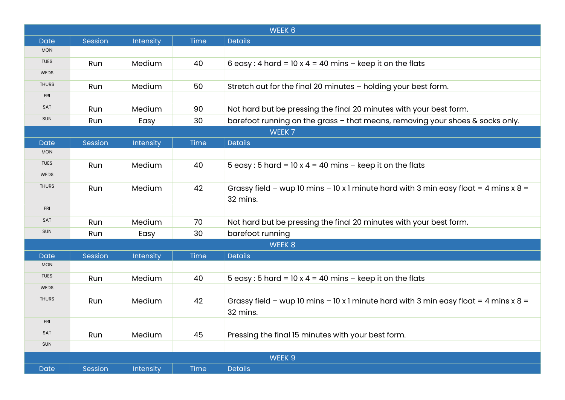| WEEK 6                    |         |           |             |                                                                                                    |  |  |  |
|---------------------------|---------|-----------|-------------|----------------------------------------------------------------------------------------------------|--|--|--|
| <b>Date</b>               | Session | Intensity | Time        | <b>Details</b>                                                                                     |  |  |  |
| <b>MON</b>                |         |           |             |                                                                                                    |  |  |  |
| <b>TUES</b>               | Run     | Medium    | 40          | 6 easy: 4 hard = $10 \times 4 = 40$ mins - keep it on the flats                                    |  |  |  |
| <b>WEDS</b>               |         |           |             |                                                                                                    |  |  |  |
| <b>THURS</b>              | Run     | Medium    | 50          | Stretch out for the final 20 minutes - holding your best form.                                     |  |  |  |
| <b>FRI</b>                |         |           |             |                                                                                                    |  |  |  |
| SAT                       | Run     | Medium    | 90          | Not hard but be pressing the final 20 minutes with your best form.                                 |  |  |  |
| <b>SUN</b>                | Run     | Easy      | 30          | barefoot running on the grass - that means, removing your shoes & socks only.                      |  |  |  |
|                           | WEEK 7  |           |             |                                                                                                    |  |  |  |
| <b>Date</b>               | Session | Intensity | Time        | <b>Details</b>                                                                                     |  |  |  |
| <b>MON</b>                |         |           |             |                                                                                                    |  |  |  |
| <b>TUES</b>               | Run     | Medium    | 40          | 5 easy: 5 hard = $10 \times 4 = 40$ mins - keep it on the flats                                    |  |  |  |
| <b>WEDS</b>               |         |           |             |                                                                                                    |  |  |  |
| <b>THURS</b>              | Run     | Medium    | 42          | Grassy field - wup 10 mins - 10 x 1 minute hard with 3 min easy float = 4 mins x $8 =$<br>32 mins. |  |  |  |
| <b>FRI</b>                |         |           |             |                                                                                                    |  |  |  |
| SAT                       |         |           |             |                                                                                                    |  |  |  |
| <b>SUN</b>                | Run     | Medium    | 70          | Not hard but be pressing the final 20 minutes with your best form.                                 |  |  |  |
|                           | Run     | Easy      | 30          | barefoot running                                                                                   |  |  |  |
| WEEK 8                    |         |           |             |                                                                                                    |  |  |  |
| <b>Date</b><br><b>MON</b> | Session | Intensity | <b>Time</b> | <b>Details</b>                                                                                     |  |  |  |
| <b>TUES</b>               |         |           |             |                                                                                                    |  |  |  |
| <b>WEDS</b>               | Run     | Medium    | 40          | 5 easy: 5 hard = $10 \times 4 = 40$ mins - keep it on the flats                                    |  |  |  |
| <b>THURS</b>              |         |           |             |                                                                                                    |  |  |  |
|                           | Run     | Medium    | 42          | Grassy field - wup 10 mins - 10 x 1 minute hard with 3 min easy float = 4 mins x $8 =$<br>32 mins. |  |  |  |
| <b>FRI</b>                |         |           |             |                                                                                                    |  |  |  |
| SAT                       | Run     | Medium    | 45          | Pressing the final 15 minutes with your best form.                                                 |  |  |  |
| <b>SUN</b>                |         |           |             |                                                                                                    |  |  |  |
| WEEK 9                    |         |           |             |                                                                                                    |  |  |  |
| Date                      | Session | Intensity | Time        | <b>Details</b>                                                                                     |  |  |  |